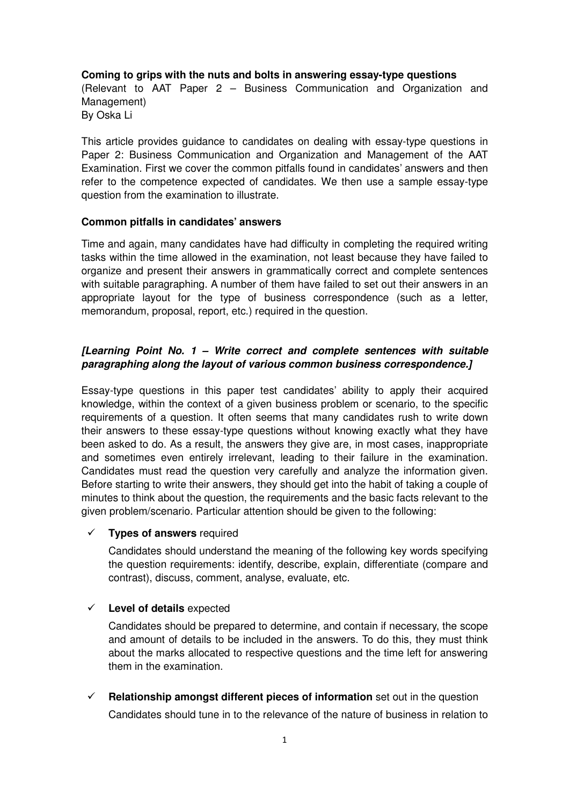### **Coming to grips with the nuts and bolts in answering essay-type questions**

(Relevant to AAT Paper 2 – Business Communication and Organization and Management) By Oska Li

This article provides guidance to candidates on dealing with essay-type questions in Paper 2: Business Communication and Organization and Management of the AAT Examination. First we cover the common pitfalls found in candidates' answers and then refer to the competence expected of candidates. We then use a sample essay-type question from the examination to illustrate.

### **Common pitfalls in candidates' answers**

Time and again, many candidates have had difficulty in completing the required writing tasks within the time allowed in the examination, not least because they have failed to organize and present their answers in grammatically correct and complete sentences with suitable paragraphing. A number of them have failed to set out their answers in an appropriate layout for the type of business correspondence (such as a letter, memorandum, proposal, report, etc.) required in the question.

# **[Learning Point No. 1 – Write correct and complete sentences with suitable paragraphing along the layout of various common business correspondence.]**

Essay-type questions in this paper test candidates' ability to apply their acquired knowledge, within the context of a given business problem or scenario, to the specific requirements of a question. It often seems that many candidates rush to write down their answers to these essay-type questions without knowing exactly what they have been asked to do. As a result, the answers they give are, in most cases, inappropriate and sometimes even entirely irrelevant, leading to their failure in the examination. Candidates must read the question very carefully and analyze the information given. Before starting to write their answers, they should get into the habit of taking a couple of minutes to think about the question, the requirements and the basic facts relevant to the given problem/scenario. Particular attention should be given to the following:

### **Types of answers** required

Candidates should understand the meaning of the following key words specifying the question requirements: identify, describe, explain, differentiate (compare and contrast), discuss, comment, analyse, evaluate, etc.

### **Level of details** expected

Candidates should be prepared to determine, and contain if necessary, the scope and amount of details to be included in the answers. To do this, they must think about the marks allocated to respective questions and the time left for answering them in the examination.

**Relationship amongst different pieces of information** set out in the question

Candidates should tune in to the relevance of the nature of business in relation to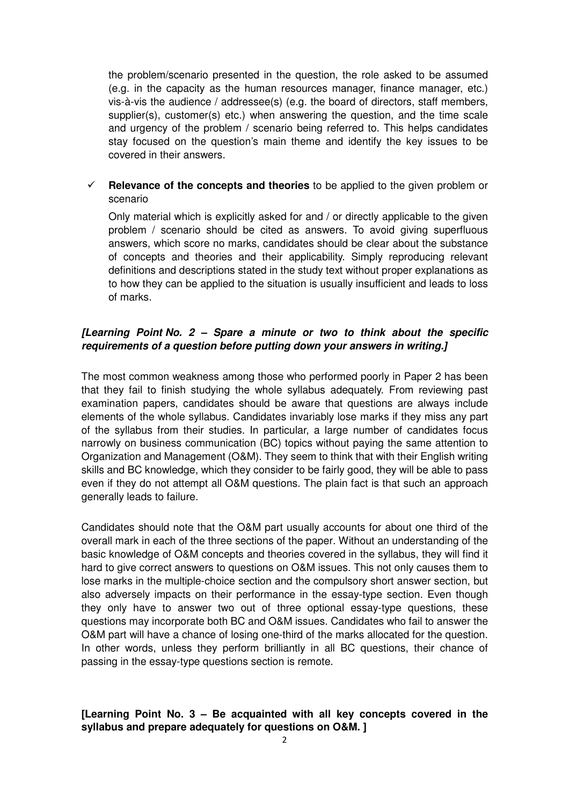the problem/scenario presented in the question, the role asked to be assumed (e.g. in the capacity as the human resources manager, finance manager, etc.) vis-à-vis the audience / addressee(s) (e.g. the board of directors, staff members, supplier(s), customer(s) etc.) when answering the question, and the time scale and urgency of the problem / scenario being referred to. This helps candidates stay focused on the question's main theme and identify the key issues to be covered in their answers.

# **Relevance of the concepts and theories** to be applied to the given problem or scenario

Only material which is explicitly asked for and / or directly applicable to the given problem / scenario should be cited as answers. To avoid giving superfluous answers, which score no marks, candidates should be clear about the substance of concepts and theories and their applicability. Simply reproducing relevant definitions and descriptions stated in the study text without proper explanations as to how they can be applied to the situation is usually insufficient and leads to loss of marks.

# **[Learning Point No. 2 – Spare a minute or two to think about the specific requirements of a question before putting down your answers in writing.]**

The most common weakness among those who performed poorly in Paper 2 has been that they fail to finish studying the whole syllabus adequately. From reviewing past examination papers, candidates should be aware that questions are always include elements of the whole syllabus. Candidates invariably lose marks if they miss any part of the syllabus from their studies. In particular, a large number of candidates focus narrowly on business communication (BC) topics without paying the same attention to Organization and Management (O&M). They seem to think that with their English writing skills and BC knowledge, which they consider to be fairly good, they will be able to pass even if they do not attempt all O&M questions. The plain fact is that such an approach generally leads to failure.

Candidates should note that the O&M part usually accounts for about one third of the overall mark in each of the three sections of the paper. Without an understanding of the basic knowledge of O&M concepts and theories covered in the syllabus, they will find it hard to give correct answers to questions on O&M issues. This not only causes them to lose marks in the multiple-choice section and the compulsory short answer section, but also adversely impacts on their performance in the essay-type section. Even though they only have to answer two out of three optional essay-type questions, these questions may incorporate both BC and O&M issues. Candidates who fail to answer the O&M part will have a chance of losing one-third of the marks allocated for the question. In other words, unless they perform brilliantly in all BC questions, their chance of passing in the essay-type questions section is remote.

# **[Learning Point No. 3 – Be acquainted with all key concepts covered in the syllabus and prepare adequately for questions on O&M. ]**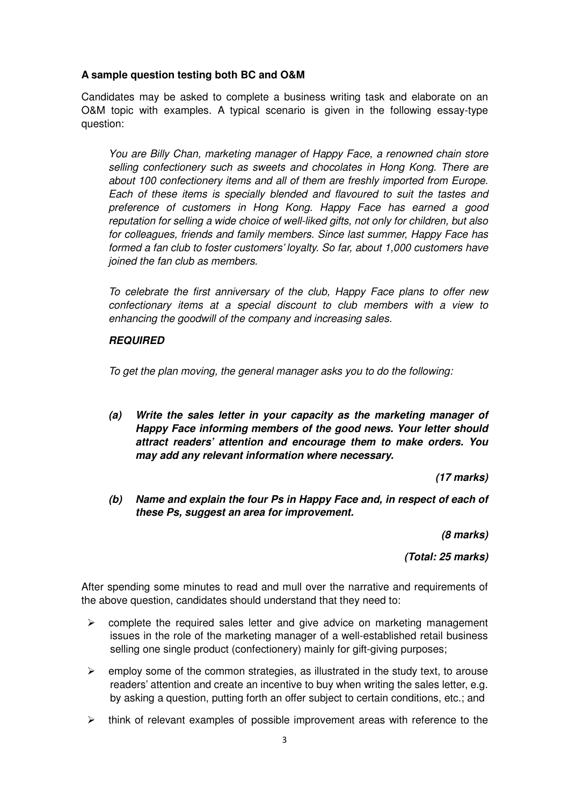## **A sample question testing both BC and O&M**

Candidates may be asked to complete a business writing task and elaborate on an O&M topic with examples. A typical scenario is given in the following essay-type question:

You are Billy Chan, marketing manager of Happy Face, a renowned chain store selling confectionery such as sweets and chocolates in Hong Kong. There are about 100 confectionery items and all of them are freshly imported from Europe. Each of these items is specially blended and flavoured to suit the tastes and preference of customers in Hong Kong. Happy Face has earned a good reputation for selling a wide choice of well-liked gifts, not only for children, but also for colleagues, friends and family members. Since last summer, Happy Face has formed a fan club to foster customers' loyalty. So far, about 1,000 customers have joined the fan club as members.

To celebrate the first anniversary of the club, Happy Face plans to offer new confectionary items at a special discount to club members with a view to enhancing the goodwill of the company and increasing sales.

### **REQUIRED**

To get the plan moving, the general manager asks you to do the following:

**(a) Write the sales letter in your capacity as the marketing manager of Happy Face informing members of the good news. Your letter should attract readers' attention and encourage them to make orders. You may add any relevant information where necessary.** 

**(17 marks)** 

**(b) Name and explain the four Ps in Happy Face and, in respect of each of these Ps, suggest an area for improvement.** 

**(8 marks)** 

**(Total: 25 marks)** 

After spending some minutes to read and mull over the narrative and requirements of the above question, candidates should understand that they need to:

- $\blacktriangleright$  complete the required sales letter and give advice on marketing management issues in the role of the marketing manager of a well-established retail business selling one single product (confectionery) mainly for gift-giving purposes;
- $\blacktriangleright$  employ some of the common strategies, as illustrated in the study text, to arouse readers' attention and create an incentive to buy when writing the sales letter, e.g. by asking a question, putting forth an offer subject to certain conditions, etc.; and
- > think of relevant examples of possible improvement areas with reference to the